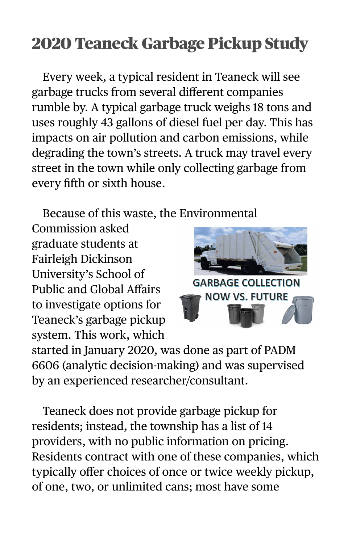## 2020 Teaneck Garbage Pickup Study

Every week, a typical resident in Teaneck will see garbage trucks from several different companies rumble by. A typical garbage truck weighs 18 tons and uses roughly 43 gallons of diesel fuel per day. This has impacts on air pollution and carbon emissions, while degrading the town's streets. A truck may travel every street in the town while only collecting garbage from every fifth or sixth house.

Because of this waste, the Environmental

Commission asked graduate students at Fairleigh Dickinson University's School of Public and Global Affairs to investigate options for Teaneck's garbage pickup system. This work, which



started in January 2020, was done as part of PADM 6606 (analytic decision-making) and was supervised by an experienced researcher/consultant.

Teaneck does not provide garbage pickup for residents; instead, the township has a list of 14 providers, with no public information on pricing. Residents contract with one of these companies, which typically offer choices of once or twice weekly pickup, of one, two, or unlimited cans; most have some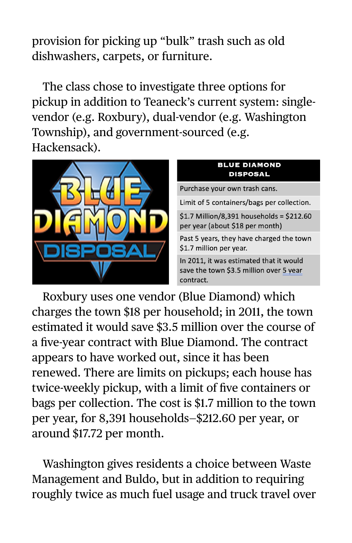provision for picking up "bulk" trash such as old dishwashers, carpets, or furniture.

The class chose to investigate three options for pickup in addition to Teaneck's current system: singlevendor (e.g. Roxbury), dual-vendor (e.g. Washington Township), and government-sourced (e.g. Hackensack).



Roxbury uses one vendor (Blue Diamond) which charges the town \$18 per household; in 2011, the town estimated it would save \$3.5 million over the course of a five-year contract with Blue Diamond. The contract appears to have worked out, since it has been renewed. There are limits on pickups; each house has twice-weekly pickup, with a limit of five containers or bags per collection. The cost is \$1.7 million to the town per year, for 8,391 households—\$212.60 per year, or around \$17.72 per month.

Washington gives residents a choice between Waste Management and Buldo, but in addition to requiring roughly twice as much fuel usage and truck travel over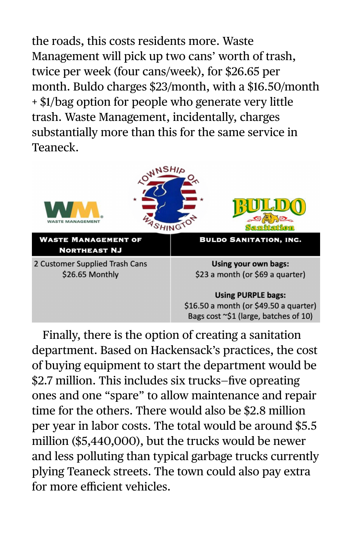the roads, this costs residents more. Waste Management will pick up two cans' worth of trash, twice per week (four cans/week), for \$26.65 per month. Buldo charges \$23/month, with a \$16.50/month + \$1/bag option for people who generate very little trash. Waste Management, incidentally, charges substantially more than this for the same service in Teaneck.



Finally, there is the option of creating a sanitation department. Based on Hackensack's practices, the cost of buying equipment to start the department would be \$2.7 million. This includes six trucks—five opreating ones and one "spare" to allow maintenance and repair time for the others. There would also be \$2.8 million per year in labor costs. The total would be around \$5.5 million (\$5,440,000), but the trucks would be newer and less polluting than typical garbage trucks currently plying Teaneck streets. The town could also pay extra for more efficient vehicles.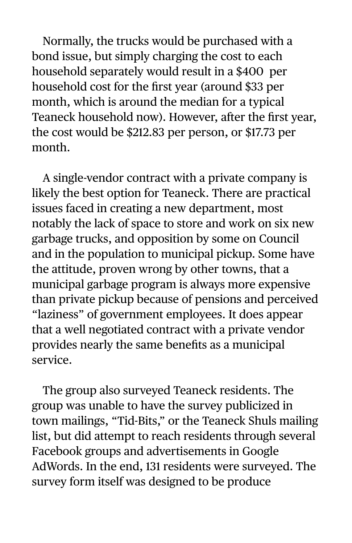Normally, the trucks would be purchased with a bond issue, but simply charging the cost to each household separately would result in a \$400 per household cost for the first year (around \$33 per month, which is around the median for a typical Teaneck household now). However, after the first year, the cost would be \$212.83 per person, or \$17.73 per month.

A single-vendor contract with a private company is likely the best option for Teaneck. There are practical issues faced in creating a new department, most notably the lack of space to store and work on six new garbage trucks, and opposition by some on Council and in the population to municipal pickup. Some have the attitude, proven wrong by other towns, that a municipal garbage program is always more expensive than private pickup because of pensions and perceived "laziness" of government employees. It does appear that a well negotiated contract with a private vendor provides nearly the same benefits as a municipal service.

The group also surveyed Teaneck residents. The group was unable to have the survey publicized in town mailings, "Tid-Bits," or the Teaneck Shuls mailing list, but did attempt to reach residents through several Facebook groups and advertisements in Google AdWords. In the end, 131 residents were surveyed. The survey form itself was designed to be produce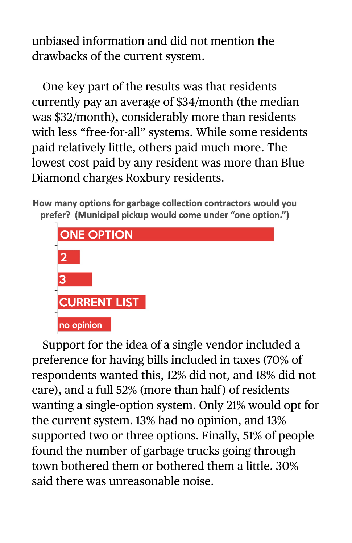unbiased information and did not mention the drawbacks of the current system.

One key part of the results was that residents currently pay an average of \$34/month (the median was \$32/month), considerably more than residents with less "free-for-all" systems. While some residents paid relatively little, others paid much more. The lowest cost paid by any resident was more than Blue Diamond charges Roxbury residents.

How many options for garbage collection contractors would you prefer? (Municipal pickup would come under "one option.")



Support for the idea of a single vendor included a preference for having bills included in taxes (70% of respondents wanted this, 12% did not, and 18% did not care), and a full 52% (more than half ) of residents wanting a single-option system. Only 21% would opt for the current system. 13% had no opinion, and 13% supported two or three options. Finally, 51% of people found the number of garbage trucks going through town bothered them or bothered them a little. 30% said there was unreasonable noise.